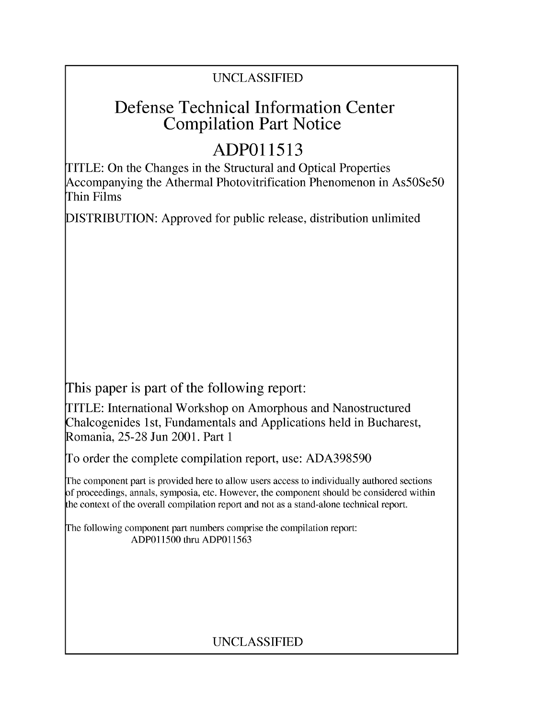## UNCLASSIFIED

# Defense Technical Information Center Compilation Part Notice

# **ADPO 11513**

TITLE: On the Changes in the Structural and Optical Properties Accompanying the Athermal Photovitrification Phenomenon in As50Se5O Thin Films

DISTRIBUTION: Approved for public release, distribution unlimited

This paper is part of the following report:

TITLE: International Workshop on Amorphous and Nanostructured Chalcogenides 1 st, Fundamentals and Applications held in Bucharest, Romania, 25-28 Jun 2001. Part 1

To order the complete compilation report, use: ADA398590

The component part is provided here to allow users access to individually authored sections f proceedings, annals, symposia, etc. However, the component should be considered within [he context of the overall compilation report and not as a stand-alone technical report.

The following component part numbers comprise the compilation report: ADPO11500 thru ADP011563

## UNCLASSIFIED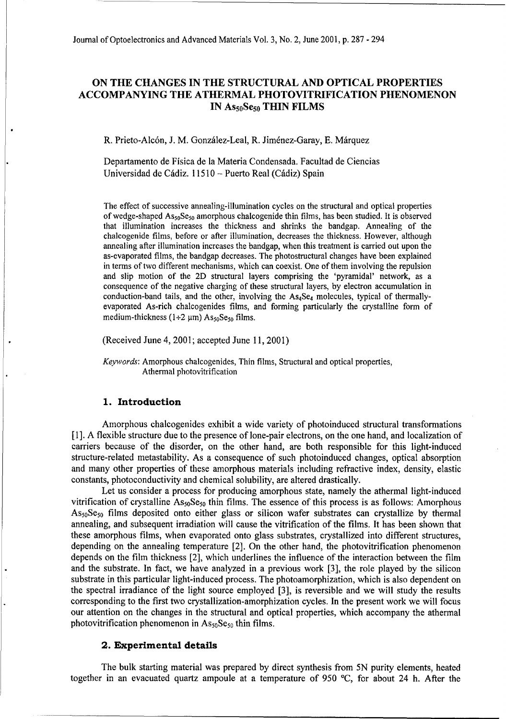### **ON** THE **CHANGES IN** THE **STRUCTURAL AND OPTICAL** PROPERTIES **ACCOMPANYING** THE ATHERMAL PHOTOVITRIFICATION **PHENOMENON IN As5oSe50 THIN** FILMS

R. Prieto-Alcón, J. M. González-Leal, R. Jiménez-Garay, E. Márquez

Departamento de Fisica de la Materia Condensada. Facultad de Ciencias Universidad de Cádiz. 11510 - Puerto Real (Cádiz) Spain

The effect of successive annealing-illumination cycles on the structural and optical properties of wedge-shaped  $As_{50}Se_{50}$  amorphous chalcogenide thin films, has been studied. It is observed that illumination increases the thickness and shrinks the bandgap. Annealing of the chalcogenide films, before or after illumination, decreases the thickness. However, although annealing after illumination increases the bandgap, when this treatment is carried out upon the as-evaporated films, the bandgap decreases. The photostructural changes have been explained in terms of two different mechanisms, which can coexist. One of them involving the repulsion and slip motion of the 2D structural layers comprising the 'pyramidal' network, as a consequence of the negative charging of these structural layers, by electron accumulation in conduction-band tails, and the other, involving the As<sub>4</sub>Se<sub>4</sub> molecules, typical of thermallyevaporated As-rich chalcogenides films, and forming particularly the crystalline form of medium-thickness (1+2  $\mu$ m) As<sub>50</sub>Se<sub>50</sub> films.

(Received June 4, 2001; accepted June 11, 2001)

*Keywords:* Amorphous chalcogenides, Thin films, Structural and optical properties, Athermal photovitrification

### **1.** Introduction

Amorphous chalcogenides exhibit a wide variety of photoinduced structural transformations **[I].** A flexible structure due to the presence of lone-pair electrons, on the one hand, and localization of carriers because of the disorder, on the other hand, are both responsible for this light-induced structure-related metastability. As a consequence of such photoinduced changes, optical absorption and many other properties of these amorphous materials including refractive index, density, elastic constants, photoconductivity and chemical solubility, are altered drastically.

Let us consider a process for producing amorphous state, namely the athermal light-induced vitrification of crystalline  $\text{As}_{50}\text{Se}_{50}$  thin films. The essence of this process is as follows: Amorphous As<sub>50</sub>Se<sub>50</sub> films deposited onto either glass or silicon wafer substrates can crystallize by thermal annealing, and subsequent irradiation will cause the vitrification of the films. It has been shown that these amorphous films, when evaporated onto glass substrates, crystallized into different structures, depending on the annealing temperature [2]. On the other hand, the photovitrification phenomenon depends on the film thickness [2], which underlines the influence of the interaction between the film and the substrate. In fact, we have analyzed in a previous work [3], the role played by the silicon substrate in this particular light-induced process. The photoamorphization, which is also dependent on the spectral irradiance of the light source employed [3], is reversible and we will study the results corresponding to the first two crystallization-amorphization cycles. In the present work we will focus our attention on the changes in the structural and optical properties, which accompany the athermal photovitrification phenomenon in  $\text{As}_{50}\text{Se}_{50}$  thin films.

#### 2. Experimental details

The bulk starting material was prepared by direct synthesis from **5N** purity elements, heated together in an evacuated quartz ampoule at a temperature of 950 **'C,** for about 24 h. After the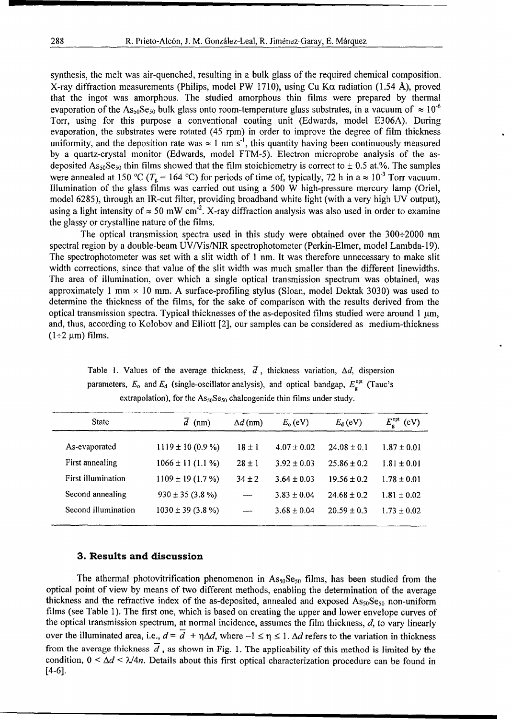synthesis, the melt was air-quenched, resulting in a bulk glass of the required chemical composition. X-ray diffraction measurements (Philips, model PW 1710), using Cu K $\alpha$  radiation (1.54 Å), proved that the ingot was amorphous. The studied amorphous thin films were prepared by thermal evaporation of the As<sub>50</sub>Se<sub>50</sub> bulk glass onto room-temperature glass substrates, in a vacuum of  $\approx 10^{-6}$ Torr, using for this purpose a conventional coating unit (Edwards, model E306A). During evaporation, the substrates were rotated (45 rpm) in order to improve the degree of film thickness uniformity, and the deposition rate was  $\approx 1$  nm s<sup>-1</sup>, this quantity having been continuously measured by a quartz-crystal monitor (Edwards, model FTM-5). Electron microprobe analysis of the asdeposited  $\text{As}_{50}\text{Se}_{50}$  thin films showed that the film stoichiometry is correct to  $\pm$  0.5 at.%. The samples were annealed at 150 °C ( $T_g$  = 164 °C) for periods of time of, typically, 72 h in a  $\approx 10^{-3}$  Torr vacuum. Illumination of the glass films was carried out using a 500 W high-pressure mercury lamp (Oriel, model 6285), through an IR-cut filter, providing broadband white light (with a very high UV output), using a light intensity of  $\approx$  50 mW cm<sup>-2</sup>. X-ray diffraction analysis was also used in order to examine the glassy or crystalline nature of the films.

The optical transmission spectra used in this study were obtained over the 300-2000 nm spectral region by a double-beam UV/Vis/NIR spectrophotometer (Perkin-Elmer, model Lambda-19). The spectrophotometer was set with a slit width of 1 nm. It was therefore unnecessary to make slit width corrections, since that value of the slit width was much smaller than the different linewidths. The area of illumination, over which a single optical transmission spectrum was obtained, was approximately 1 mm  $\times$  10 mm. A surface-profiling stylus (Sloan, model Dektak 3030) was used to determine the thickness of the films, for the sake of comparison with the results derived from the optical transmission spectra. Typical thicknesses of the as-deposited films studied were around  $1 \mu m$ , and, thus, according to Kolobov and Elliott [2], our samples can be considered as medium-thickness  $(1+2 \mu m)$  films.

parameters,  $E_0$  and  $E_d$  (single-oscillator analysis), and optical bandgap,  $E_q^{\text{opt}}$  (Tauc's extrapolation), for the  $\text{As}_{50}\text{Se}_{50}$  chalcogenide thin films under study.

Table 1. Values of the average thickness,  $\overline{d}$ , thickness variation,  $\Delta d$ , dispersion

| <b>State</b>        | $\overline{d}$ (nm)   | $\Delta d$ (nm) | $E_{\rm o}$ (eV) | $E_{d}$ (eV)    | $E_{\rm g}^{\rm opt}$ (eV) |
|---------------------|-----------------------|-----------------|------------------|-----------------|----------------------------|
| As-evaporated       | $1119 \pm 10 (0.9 %)$ | $18 \pm 1$      | $4.07 \pm 0.02$  | $24.08 \pm 0.1$ | $1.87 \pm 0.01$            |
| First annealing     | $1066 \pm 11 (1.1 %)$ | $28 \pm 1$      | $3.92 \pm 0.03$  | $25.86 \pm 0.2$ | $1.81 \pm 0.01$            |
| First illumination  | $1109 \pm 19(1.7\%)$  | $34 \pm 2$      | $3.64 \pm 0.03$  | $19.56 \pm 0.2$ | $1.78 \pm 0.01$            |
| Second annealing    | $930 \pm 35 (3.8\%)$  |                 | $3.83 \pm 0.04$  | $24.68 \pm 0.2$ | $1.81 \pm 0.02$            |
| Second illumination | $1030 \pm 39$ (3.8 %) |                 | $3.68 \pm 0.04$  | $20.59 \pm 0.3$ | $1.73 \pm 0.02$            |
|                     |                       |                 |                  |                 |                            |

#### **3.** Results and discussion

The athermal photovitrification phenomenon in  $As_{50}Se_{50}$  films, has been studied from the optical point of view by means of two different methods, enabling the determination of the average thickness and the refractive index of the as-deposited, annealed and exposed  $As_{50}Se_{50}$  non-uniform films (see Table 1). The first one, which is based on creating the upper and lower envelope curves of the optical transmission spectrum, at normal incidence, assumes the film thickness,  $d$ , to vary linearly over the illuminated area, i.e.,  $d = \overline{d} + \eta \Delta d$ , where  $-1 \le \eta \le 1$ .  $\Delta d$  refers to the variation in thickness from the average thickness  $\overline{d}$ , as shown in Fig. 1. The applicability of this method is limited by the condition,  $0 \leq \Delta d \leq \lambda/4n$ . Details about this first optical characterization procedure can be found in [4-6].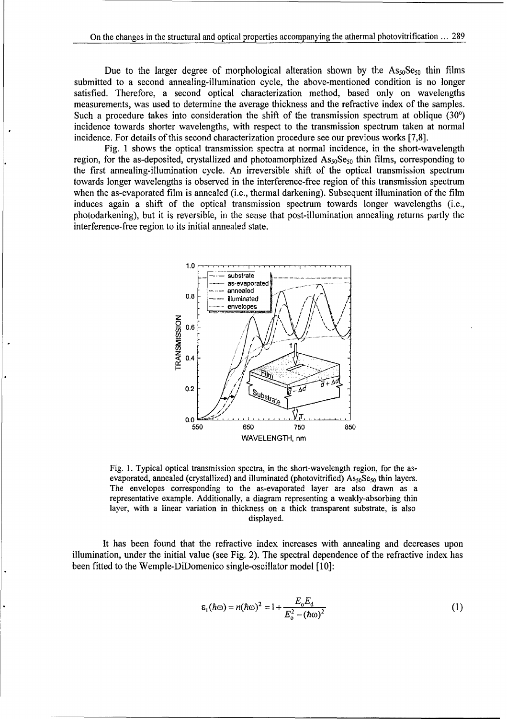Due to the larger degree of morphological alteration shown by the  $As_{50}Se_{50}$  thin films submitted to a second annealing-illumination cycle, the above-mentioned condition is no longer satisfied. Therefore, a second optical characterization method, based only on wavelengths measurements, was used to determine the average thickness and the refractive index of the samples. Such a procedure takes into consideration the shift of the transmission spectrum at oblique **(300)** incidence towards shorter wavelengths, with respect to the transmission spectrum taken at normal incidence. For details of this second characterization procedure see our previous works [7,8].

Fig. 1 shows the optical transmission spectra at normal incidence, in the short-wavelength region, for the as-deposited, crystallized and photoamorphized  $\text{As}_{50}\text{Se}_{50}$  thin films, corresponding to the first annealing-illumination cycle. An irreversible shift of the optical transmission spectrum towards longer wavelengths is observed in the interference-free region of this transmission spectrum when the as-evaporated film is annealed (i.e., thermal darkening). Subsequent illumination of the film induces again a shift of the optical transmission spectrum towards longer wavelengths (i.e., photodarkening), but it is reversible, in the sense that post-illumination annealing returns partly the interference-free region to its initial annealed state.



Fig. 1. Typical optical transmission spectra, in the short-wavelength region, for the asevaporated, annealed (crystallized) and illuminated (photovitrified)  $\text{As}_{50}\text{Se}_{50}$  thin layers. The envelopes corresponding to the as-evaporated layer are also drawn as a representative example. Additionally, a diagram representing a weakly-absorbing thin layer, with a linear variation in thickness on a thick transparent substrate, is also displayed.

It has been found that the refractive index increases with annealing and decreases upon illumination, under the initial value (see Fig. 2). The spectral dependence of the refractive index has been fitted to the Wemple-DiDomenico single-oscillator model [10]:

$$
\varepsilon_1(\hbar\omega) = n(\hbar\omega)^2 = 1 + \frac{E_{\rm o}E_{\rm d}}{E_{\rm o}^2 - (\hbar\omega)^2}
$$
 (1)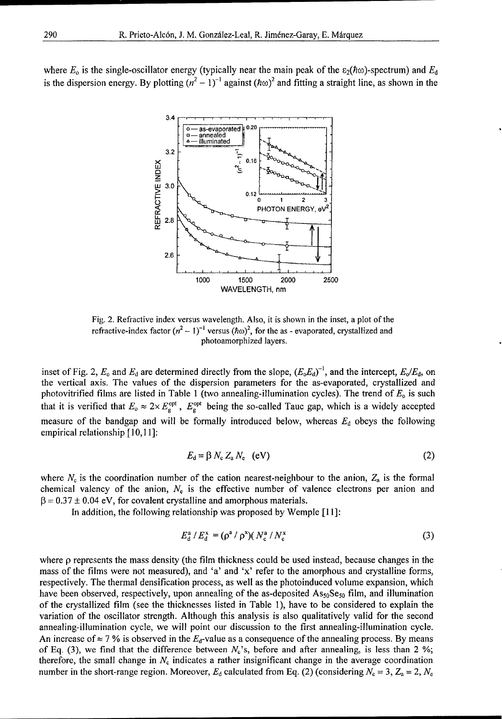where  $E_0$  is the single-oscillator energy (typically near the main peak of the  $\epsilon_2(\hbar\omega)$ -spectrum) and  $E_d$ is the dispersion energy. By plotting  $(n^2 - 1)^{-1}$  against  $(\hbar \omega)^2$  and fitting a straight line, as shown in the



Fig. 2. Refractive index versus wavelength. Also, it is shown in the inset, a plot of the refractive-index factor  $(n^2 - 1)^{-1}$  versus  $(h\omega)^2$ , for the as - evaporated, crystallized and photoamorphized layers.

inset of Fig. 2,  $E_0$  and  $E_d$  are determined directly from the slope,  $(E_0E_d)^{-1}$ , and the intercept,  $E_0/E_d$ , on the vertical axis. The values of the dispersion parameters for the as-evaporated, crystallized and photovitrified films are listed in Table 1 (two annealing-illumination cycles). The trend of *E.* is such that it is verified that  $E_0 \approx 2 \times E_{\rm g}^{\rm opt}$ ,  $E_{\rm g}^{\rm opt}$  being the so-called Tauc gap, which is a widely accepted measure of the bandgap and will be formally introduced below, whereas  $E_d$  obeys the following empirical relationship [10,11]:

$$
E_{\rm d} = \beta N_{\rm c} Z_{\rm a} N_{\rm e} \quad (eV) \tag{2}
$$

where  $N_c$  is the coordination number of the cation nearest-neighbour to the anion,  $Z_a$  is the formal chemical valency of the anion,  $N<sub>e</sub>$  is the effective number of valence electrons per anion and  $\beta$  = 0.37  $\pm$  0.04 eV, for covalent crystalline and amorphous materials.

In addition, the following relationship was proposed by Wemple [11]:

$$
E_{\rm d}^{\rm a} / E_{\rm d}^{\rm x} = (\rho^{\rm a} / \rho^{\rm x}) (N_{\rm c}^{\rm a} / N_{\rm c}^{\rm x}) \tag{3}
$$

where p represents the mass density (the film thickness could be used instead, because changes in the mass of the films were not measured), and 'a' and 'x' refer to the amorphous and crystalline forms, respectively. The thermal densification process, as well as the photoinduced volume expansion, which have been observed, respectively, upon annealing of the as-deposited  $\text{As}_{50}\text{Se}_{50}$  film, and illumination of the crystallized film (see the thicknesses listed in Table 1), have to be considered to explain the variation of the oscillator strength. Although this analysis is also qualitatively valid for the second annealing-illumination cycle, we will point our discussion to the first annealing-illumination cycle. An increase of  $\approx$  7 % is observed in the  $E_d$ -value as a consequence of the annealing process. By means of Eq. (3), we find that the difference between  $N_c$ 's, before and after annealing, is less than 2 %; therefore, the small change in  $N_c$  indicates a rather insignificant change in the average coordination number in the short-range region. Moreover,  $E_d$  calculated from Eq. (2) (considering  $N_c = 3$ ,  $Z_a = 2$ ,  $N_e$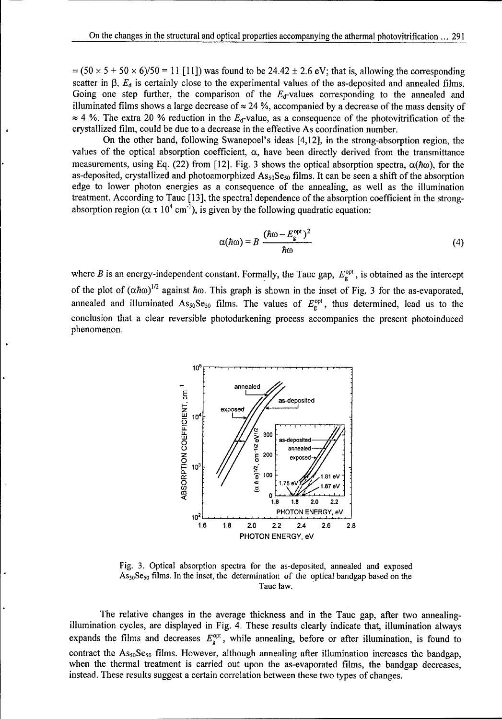$= (50 \times 5 + 50 \times 6)/50 = 11$  [11]) was found to be 24.42  $\pm$  2.6 eV; that is, allowing the corresponding scatter in  $\beta$ ,  $E_d$  is certainly close to the experimental values of the as-deposited and annealed films. Going one step further, the comparison of the  $E_d$ -values corresponding to the annealed and illuminated films shows a large decrease of  $\approx$  24 %, accompanied by a decrease of the mass density of  $\approx$  4 %. The extra 20 % reduction in the  $E_d$ -value, as a consequence of the photovitrification of the crystallized film, could be due to a decrease in the effective As coordination number.

On the other hand, following Swanepoel's ideas [4,12], in the strong-absorption region, the values of the optical absorption coefficient,  $\alpha$ , have been directly derived from the transmittance measurements, using Eq. (22) from [12]. Fig. 3 shows the optical absorption spectra,  $\alpha(\hbar\omega)$ , for the as-deposited, crystallized and photoamorphized  $\text{As}_{50}\text{Se}_{50}$  films. It can be seen a shift of the absorption edge to lower photon energies as a consequence of the annealing, as well as the illumination treatment. According to Tauc [13], the spectral dependence of the absorption coefficient in the strongabsorption region ( $\alpha \tau 10^4$  cm<sup>-1</sup>), is given by the following quadratic equation: ( **\_c** opt )2

$$
\alpha(\hbar\omega) = B \frac{(\hbar\omega - E_{\rm g}^{\rm opt})^2}{\hbar\omega} \tag{4}
$$

where B is an energy-independent constant. Formally, the Tauc gap,  $E_g^{\text{opt}}$ , is obtained as the intercept of the plot of  $(\alpha \hbar \omega)^{1/2}$  against  $\hbar \omega$ . This graph is shown in the inset of Fig. 3 for the as-evaporated, annealed and illuminated  $\text{As}_{50}\text{Se}_{50}$  films. The values of  $E_{\text{g}}^{\text{opt}}$ , thus determined, lead us to the conclusion that a clear reversible photodarkening process accompanies the present photoinduced phenomenon.



Fig. 3. Optical absorption spectra for the as-deposited, annealed and exposed  $\text{As}_{50}\text{Se}_{50}$  films. In the inset, the determination of the optical bandgap based on the Tauc law.

The relative changes in the average thickness and in the Tauc gap, after two annealingillumination cycles, are displayed in Fig. 4. These results clearly indicate that, illumination always expands the films and decreases  $E_g^{\text{opt}}$ , while annealing, before or after illumination, is found to contract the  $As_{50}Se_{50}$  films. However, although annealing after illumination increases the bandgap, when the thermal treatment is carried out upon the as-evaporated films, the bandgap decreases, instead. These results suggest a certain correlation between these two types of changes.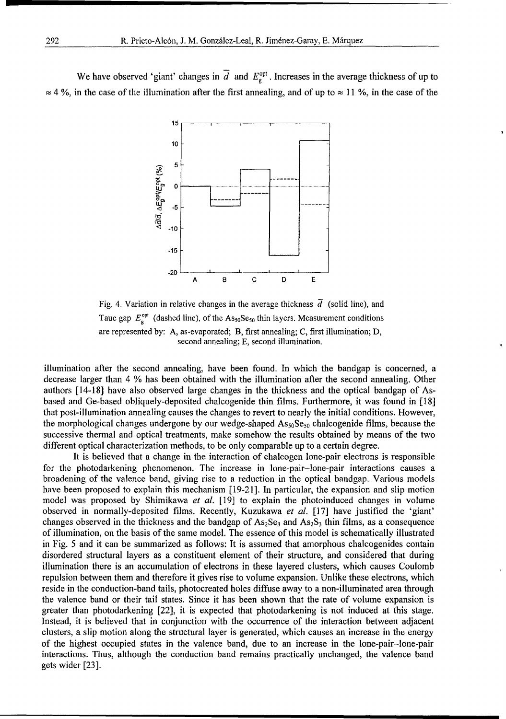We have observed 'giant' changes in  $\overline{d}$  and  $E_{\rm g}^{\rm opt}$ . Increases in the average thickness of up to  $\approx$  4 %, in the case of the illumination after the first annealing, and of up to  $\approx$  11 %, in the case of the



Fig. 4. Variation in relative changes in the average thickness  $\overline{d}$  (solid line), and Tauc gap  $E_a^{\text{opt}}$  (dashed line), of the As<sub>50</sub>Se<sub>50</sub> thin layers. Measurement conditions are represented by: A, as-evaporated; B, first annealing; C, first illumination; D, second annealing; E, second illumination.

illumination after the second annealing, have been found. In which the bandgap is concerned, a decrease larger than 4 % has been obtained with the illumination after the second annealing. Other authors [14-18] have also observed large changes in the thickness and the optical bandgap of Asbased and Ge-based obliquely-deposited chalcogenide thin films. Furthermore, it was found in [18] that post-illumination annealing causes the changes to revert to nearly the initial conditions. However, the morphological changes undergone by our wedge-shaped  $As_{50}Se_{50}$  chalcogenide films, because the successive thermal and optical treatments, make somehow the results obtained by means of the two different optical characterization methods, to be only comparable up to a certain degree.

It is believed that a change in the interaction of chalcogen lone-pair electrons is responsible for the photodarkening phenomenon. The increase in lone-pair-lone-pair interactions causes a broadening of the valence band, giving rise to a reduction in the optical bandgap. Various models have been proposed to explain this mechanism [19-21]. In particular, the expansion and slip motion model was proposed by Shimikawa *et al.* [19] to explain the photoinduced changes in volume observed in normally-deposited films. Recently, Kuzukawa *et al.* [17] have justified the 'giant' changes observed in the thickness and the bandgap of  $As_2Se_3$  and  $As_2S_3$  thin films, as a consequence of illumination, on the basis of the same model. The essence of this model is schematically illustrated in Fig. 5 and it can be summarized as follows: It is assumed that amorphous chalcogenides contain disordered structural layers as a constituent element of their structure, and considered that during illumination there is an accumulation of electrons in these layered clusters, which causes Coulomb repulsion between them and therefore it gives rise to volume expansion. Unlike these electrons, which reside in the conduction-band tails, photocreated holes diffuse away to a non-illuminated area through the valence band or their tail states. Since it has been shown that the rate of volume expansion is greater than photodarkening [22], it is expected that photodarkening is not induced at this stage. Instead, it is believed that in conjunction with the occurrence of the interaction between adjacent clusters, a slip motion along the structural layer is generated, which causes an increase in the energy of the highest occupied states in the valence band, due to an increase in the lone-pair-lone-pair interactions. Thus, although the conduction band remains practically unchanged, the valence band gets wider [23].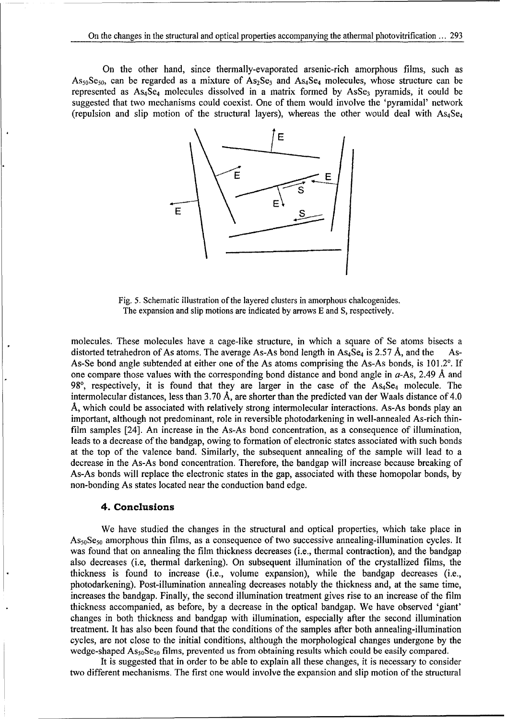On the other hand, since thermally-evaporated arsenic-rich amorphous films, such as As<sub>50</sub>Se<sub>50</sub>, can be regarded as a mixture of As<sub>2</sub>Se<sub>3</sub> and As<sub>4</sub>Se<sub>4</sub> molecules, whose structure can be represented as  $As_4\bar{Se}_4$  molecules dissolved in a matrix formed by  $AsSe_3$  pyramids, it could be suggested that two mechanisms could coexist. One of them would involve the 'pyramidal' network (repulsion and slip motion of the structural layers), whereas the other would deal with  $As_4Se_4$ 



Fig. 5. Schematic illustration of the layered clusters in amorphous chalcogenides. The expansion and slip motions are indicated by arrows E and **S,** respectively.

molecules. These molecules have a cage-like structure, in which a square of Se atoms bisects a distorted tetrahedron of As atoms. The average As-As bond length in  $As_4Se_4$  is 2.57 Å, and the As-As-Se bond angle subtended at either one of the As atoms comprising the As-As bonds, is  $101.2^{\circ}$ . If one compare those values with the corresponding bond distance and bond angle in  $a$ -As, 2.49 Å and 98 $\degree$ , respectively, it is found that they are larger in the case of the  $As_4Se_4$  molecule. The intermolecular distances, less than 3.70 A, are shorter than the predicted van der Waals distance of 4.0 **A,** which could be associated with relatively strong intermolecular interactions. As-As bonds play an important, although not predominant, role in reversible photodarkening in well-annealed As-rich thinfilm samples [24]. An increase in the As-As bond concentration, as a consequence of illumination, leads to a decrease of the bandgap, owing to formation of electronic states associated with such bonds at the top of the valence band. Similarly, the subsequent annealing of the sample will lead to a decrease in the As-As bond concentration. Therefore, the bandgap will increase because breaking of As-As bonds will replace the electronic states in the gap, associated with these homopolar bonds, by non-bonding As states located near the conduction band edge.

#### 4. Conclusions

We have studied the changes in the structural and optical properties, which take place in  $\Delta s_{50}$ Se<sub>50</sub> amorphous thin films, as a consequence of two successive annealing-illumination cycles. It was found that on annealing the film thickness decreases (i.e., thermal contraction), and the bandgap also decreases (i.e, thermal darkening). On subsequent illumination of the crystallized films, the thickness is found to increase (i.e., volume expansion), while the bandgap decreases (i.e., photodarkening). Post-illumination annealing decreases notably the thickness and, at the same time, increases the bandgap. Finally, the second illumination treatment gives rise to an increase of the film thickness accompanied, as before, by a decrease in the optical bandgap. We have observed 'giant' changes in both thickness and bandgap with illumination, especially after the second illumination treatment. It has also been found that the conditions of the samples after both annealing-illumination cycles, are not close to the initial conditions, although the morphological changes undergone by the wedge-shaped  $\text{As}_{50}\text{Se}_{50}$  films, prevented us from obtaining results which could be easily compared.

It is suggested that in order to be able to explain all these changes, it is necessary to consider two different mechanisms. The first one would involve the expansion and slip motion of the structural